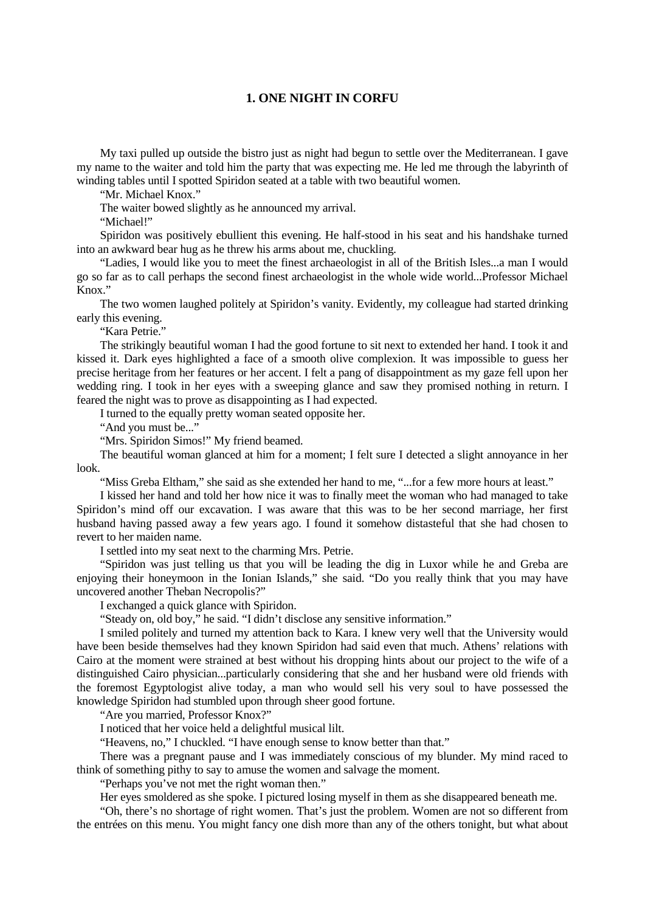## **1. ONE NIGHT IN CORFU**

My taxi pulled up outside the bistro just as night had begun to settle over the Mediterranean. I gave my name to the waiter and told him the party that was expecting me. He led me through the labyrinth of winding tables until I spotted Spiridon seated at a table with two beautiful women.

"Mr. Michael Knox."

The waiter bowed slightly as he announced my arrival.

"Michael!"

Spiridon was positively ebullient this evening. He half-stood in his seat and his handshake turned into an awkward bear hug as he threw his arms about me, chuckling.

"Ladies, I would like you to meet the finest archaeologist in all of the British Isles...a man I would go so far as to call perhaps the second finest archaeologist in the whole wide world...Professor Michael Knox."

The two women laughed politely at Spiridon's vanity. Evidently, my colleague had started drinking early this evening.

"Kara Petrie."

The strikingly beautiful woman I had the good fortune to sit next to extended her hand. I took it and kissed it. Dark eyes highlighted a face of a smooth olive complexion. It was impossible to guess her precise heritage from her features or her accent. I felt a pang of disappointment as my gaze fell upon her wedding ring. I took in her eyes with a sweeping glance and saw they promised nothing in return. I feared the night was to prove as disappointing as I had expected.

I turned to the equally pretty woman seated opposite her.

"And you must be..."

"Mrs. Spiridon Simos!" My friend beamed.

The beautiful woman glanced at him for a moment; I felt sure I detected a slight annoyance in her look.

"Miss Greba Eltham," she said as she extended her hand to me, "...for a few more hours at least."

I kissed her hand and told her how nice it was to finally meet the woman who had managed to take Spiridon's mind off our excavation. I was aware that this was to be her second marriage, her first husband having passed away a few years ago. I found it somehow distasteful that she had chosen to revert to her maiden name.

I settled into my seat next to the charming Mrs. Petrie.

"Spiridon was just telling us that you will be leading the dig in Luxor while he and Greba are enjoying their honeymoon in the Ionian Islands," she said. "Do you really think that you may have uncovered another Theban Necropolis?"

I exchanged a quick glance with Spiridon.

"Steady on, old boy," he said. "I didn't disclose any sensitive information."

I smiled politely and turned my attention back to Kara. I knew very well that the University would have been beside themselves had they known Spiridon had said even that much. Athens' relations with Cairo at the moment were strained at best without his dropping hints about our project to the wife of a distinguished Cairo physician...particularly considering that she and her husband were old friends with the foremost Egyptologist alive today, a man who would sell his very soul to have possessed the knowledge Spiridon had stumbled upon through sheer good fortune.

"Are you married, Professor Knox?"

I noticed that her voice held a delightful musical lilt.

"Heavens, no," I chuckled. "I have enough sense to know better than that."

There was a pregnant pause and I was immediately conscious of my blunder. My mind raced to think of something pithy to say to amuse the women and salvage the moment.

"Perhaps you've not met the right woman then."

Her eyes smoldered as she spoke. I pictured losing myself in them as she disappeared beneath me.

"Oh, there's no shortage of right women. That's just the problem. Women are not so different from the entrées on this menu. You might fancy one dish more than any of the others tonight, but what about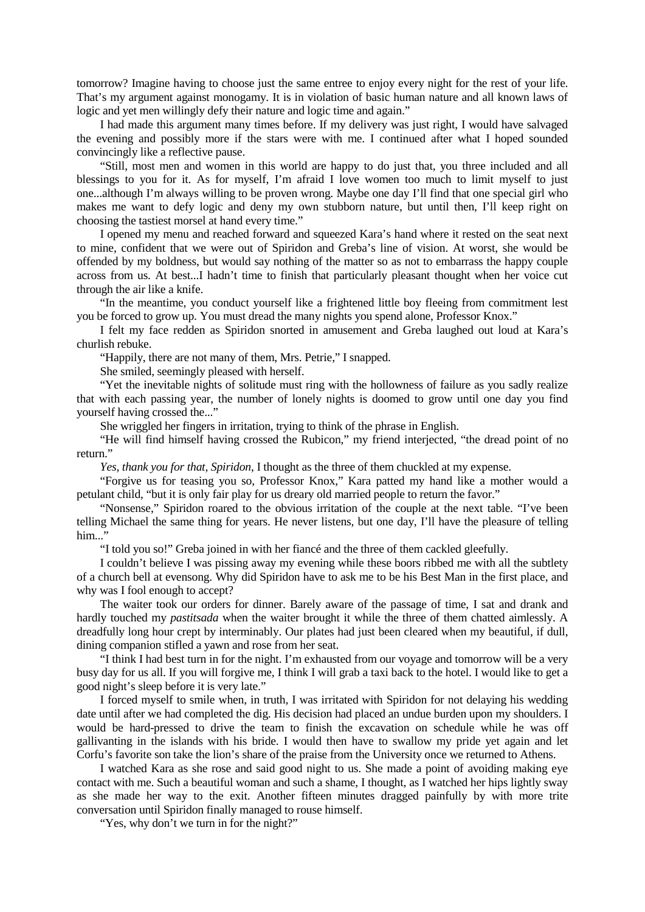tomorrow? Imagine having to choose just the same entree to enjoy every night for the rest of your life. That's my argument against monogamy. It is in violation of basic human nature and all known laws of logic and yet men willingly defy their nature and logic time and again."

I had made this argument many times before. If my delivery was just right, I would have salvaged the evening and possibly more if the stars were with me. I continued after what I hoped sounded convincingly like a reflective pause.

"Still, most men and women in this world are happy to do just that, you three included and all blessings to you for it. As for myself, I'm afraid I love women too much to limit myself to just one...although I'm always willing to be proven wrong. Maybe one day I'll find that one special girl who makes me want to defy logic and deny my own stubborn nature, but until then, I'll keep right on choosing the tastiest morsel at hand every time."

I opened my menu and reached forward and squeezed Kara's hand where it rested on the seat next to mine, confident that we were out of Spiridon and Greba's line of vision. At worst, she would be offended by my boldness, but would say nothing of the matter so as not to embarrass the happy couple across from us. At best...I hadn't time to finish that particularly pleasant thought when her voice cut through the air like a knife.

"In the meantime, you conduct yourself like a frightened little boy fleeing from commitment lest you be forced to grow up. You must dread the many nights you spend alone, Professor Knox."

I felt my face redden as Spiridon snorted in amusement and Greba laughed out loud at Kara's churlish rebuke.

"Happily, there are not many of them, Mrs. Petrie," I snapped.

She smiled, seemingly pleased with herself.

"Yet the inevitable nights of solitude must ring with the hollowness of failure as you sadly realize that with each passing year, the number of lonely nights is doomed to grow until one day you find yourself having crossed the..."

She wriggled her fingers in irritation, trying to think of the phrase in English.

"He will find himself having crossed the Rubicon," my friend interjected, "the dread point of no return."

*Yes, thank you for that, Spiridon*, I thought as the three of them chuckled at my expense.

"Forgive us for teasing you so, Professor Knox," Kara patted my hand like a mother would a petulant child, "but it is only fair play for us dreary old married people to return the favor."

"Nonsense," Spiridon roared to the obvious irritation of the couple at the next table. "I've been telling Michael the same thing for years. He never listens, but one day, I'll have the pleasure of telling him..."

"I told you so!" Greba joined in with her fiancé and the three of them cackled gleefully.

I couldn't believe I was pissing away my evening while these boors ribbed me with all the subtlety of a church bell at evensong. Why did Spiridon have to ask me to be his Best Man in the first place, and why was I fool enough to accept?

The waiter took our orders for dinner. Barely aware of the passage of time, I sat and drank and hardly touched my *pastitsada* when the waiter brought it while the three of them chatted aimlessly. A dreadfully long hour crept by interminably. Our plates had just been cleared when my beautiful, if dull, dining companion stifled a yawn and rose from her seat.

"I think I had best turn in for the night. I'm exhausted from our voyage and tomorrow will be a very busy day for us all. If you will forgive me, I think I will grab a taxi back to the hotel. I would like to get a good night's sleep before it is very late."

I forced myself to smile when, in truth, I was irritated with Spiridon for not delaying his wedding date until after we had completed the dig. His decision had placed an undue burden upon my shoulders. I would be hard-pressed to drive the team to finish the excavation on schedule while he was off gallivanting in the islands with his bride. I would then have to swallow my pride yet again and let Corfu's favorite son take the lion's share of the praise from the University once we returned to Athens.

I watched Kara as she rose and said good night to us. She made a point of avoiding making eye contact with me. Such a beautiful woman and such a shame, I thought, as I watched her hips lightly sway as she made her way to the exit. Another fifteen minutes dragged painfully by with more trite conversation until Spiridon finally managed to rouse himself.

"Yes, why don't we turn in for the night?"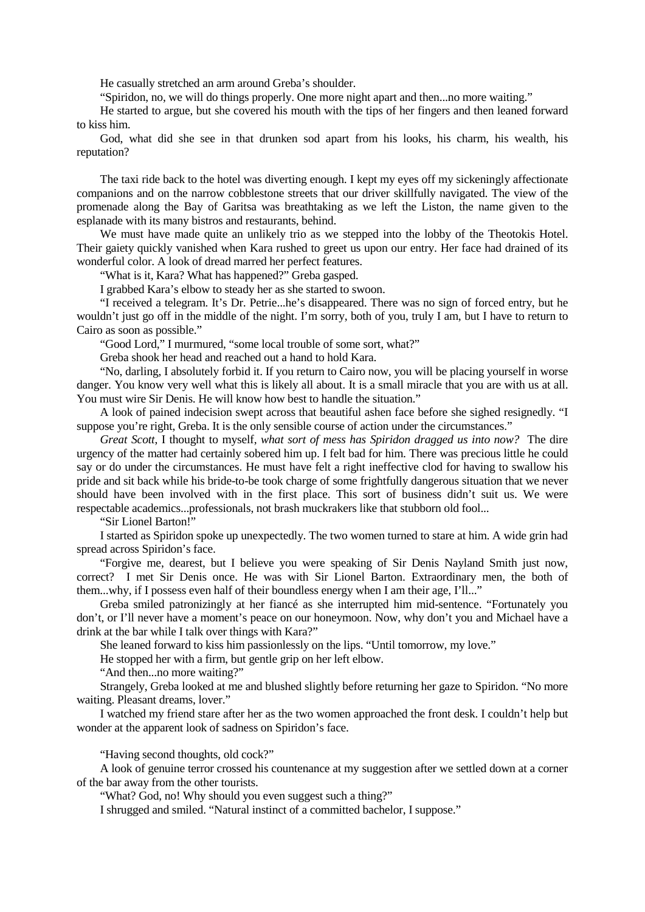He casually stretched an arm around Greba's shoulder.

"Spiridon, no, we will do things properly. One more night apart and then...no more waiting."

He started to argue, but she covered his mouth with the tips of her fingers and then leaned forward to kiss him.

God, what did she see in that drunken sod apart from his looks, his charm, his wealth, his reputation?

The taxi ride back to the hotel was diverting enough. I kept my eyes off my sickeningly affectionate companions and on the narrow cobblestone streets that our driver skillfully navigated. The view of the promenade along the Bay of Garitsa was breathtaking as we left the Liston, the name given to the esplanade with its many bistros and restaurants, behind.

We must have made quite an unlikely trio as we stepped into the lobby of the Theotokis Hotel. Their gaiety quickly vanished when Kara rushed to greet us upon our entry. Her face had drained of its wonderful color. A look of dread marred her perfect features.

"What is it, Kara? What has happened?" Greba gasped.

I grabbed Kara's elbow to steady her as she started to swoon.

"I received a telegram. It's Dr. Petrie...he's disappeared. There was no sign of forced entry, but he wouldn't just go off in the middle of the night. I'm sorry, both of you, truly I am, but I have to return to Cairo as soon as possible."

"Good Lord," I murmured, "some local trouble of some sort, what?"

Greba shook her head and reached out a hand to hold Kara.

"No, darling, I absolutely forbid it. If you return to Cairo now, you will be placing yourself in worse danger. You know very well what this is likely all about. It is a small miracle that you are with us at all. You must wire Sir Denis. He will know how best to handle the situation."

A look of pained indecision swept across that beautiful ashen face before she sighed resignedly. "I suppose you're right, Greba. It is the only sensible course of action under the circumstances."

*Great Scott*, I thought to myself, *what sort of mess has Spiridon dragged us into now?* The dire urgency of the matter had certainly sobered him up. I felt bad for him. There was precious little he could say or do under the circumstances. He must have felt a right ineffective clod for having to swallow his pride and sit back while his bride-to-be took charge of some frightfully dangerous situation that we never should have been involved with in the first place. This sort of business didn't suit us. We were respectable academics...professionals, not brash muckrakers like that stubborn old fool...

"Sir Lionel Barton!"

I started as Spiridon spoke up unexpectedly. The two women turned to stare at him. A wide grin had spread across Spiridon's face.

"Forgive me, dearest, but I believe you were speaking of Sir Denis Nayland Smith just now, correct? I met Sir Denis once. He was with Sir Lionel Barton. Extraordinary men, the both of them...why, if I possess even half of their boundless energy when I am their age, I'll..."

Greba smiled patronizingly at her fiancé as she interrupted him mid-sentence. "Fortunately you don't, or I'll never have a moment's peace on our honeymoon. Now, why don't you and Michael have a drink at the bar while I talk over things with Kara?"

She leaned forward to kiss him passionlessly on the lips. "Until tomorrow, my love."

He stopped her with a firm, but gentle grip on her left elbow.

"And then...no more waiting?"

Strangely, Greba looked at me and blushed slightly before returning her gaze to Spiridon. "No more waiting. Pleasant dreams, lover."

I watched my friend stare after her as the two women approached the front desk. I couldn't help but wonder at the apparent look of sadness on Spiridon's face.

"Having second thoughts, old cock?"

A look of genuine terror crossed his countenance at my suggestion after we settled down at a corner of the bar away from the other tourists.

"What? God, no! Why should you even suggest such a thing?"

I shrugged and smiled. "Natural instinct of a committed bachelor, I suppose."